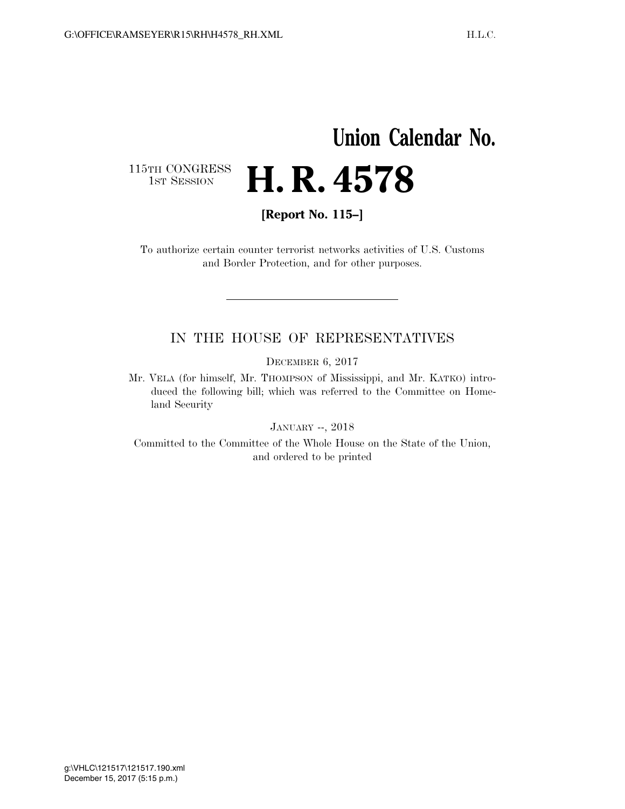## **Union Calendar No.**  H. R. 4578

115TH CONGRESS<br>1st Session

**[Report No. 115–]** 

To authorize certain counter terrorist networks activities of U.S. Customs and Border Protection, and for other purposes.

## IN THE HOUSE OF REPRESENTATIVES

DECEMBER 6, 2017

Mr. VELA (for himself, Mr. THOMPSON of Mississippi, and Mr. KATKO) introduced the following bill; which was referred to the Committee on Homeland Security

JANUARY --, 2018

Committed to the Committee of the Whole House on the State of the Union, and ordered to be printed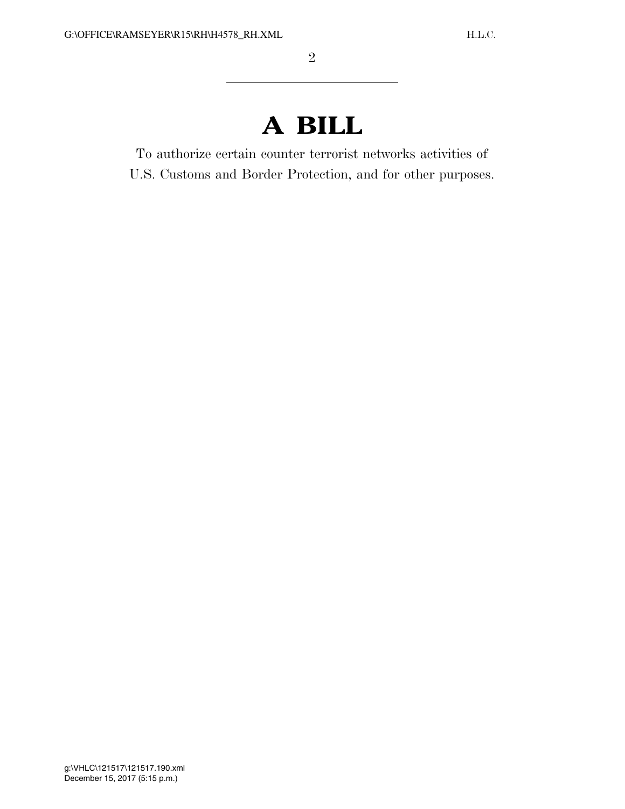## **A BILL**

To authorize certain counter terrorist networks activities of U.S. Customs and Border Protection, and for other purposes.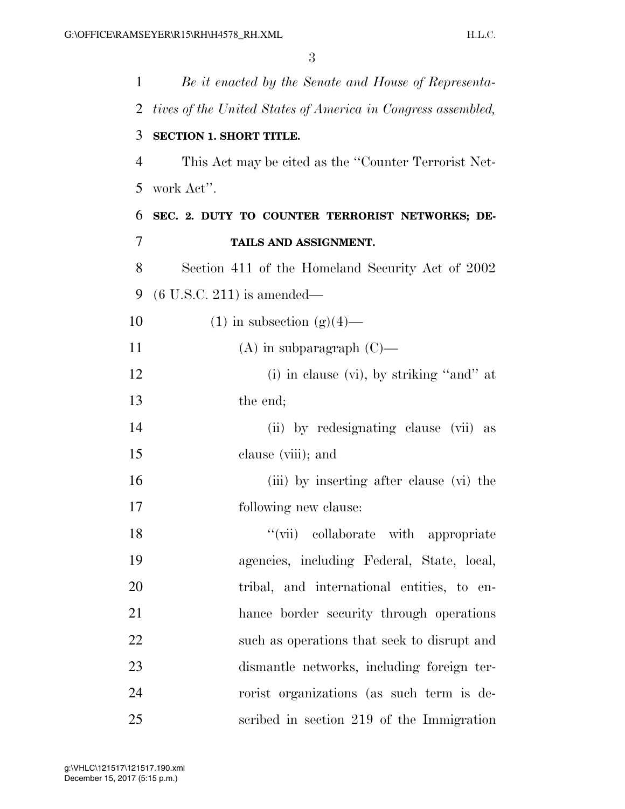| 1              | Be it enacted by the Senate and House of Representa-         |
|----------------|--------------------------------------------------------------|
| 2              | tives of the United States of America in Congress assembled, |
| 3              | <b>SECTION 1. SHORT TITLE.</b>                               |
| $\overline{4}$ | This Act may be cited as the "Counter Terrorist Net-         |
| 5              | work Act".                                                   |
| 6              | SEC. 2. DUTY TO COUNTER TERRORIST NETWORKS; DE-              |
| 7              | TAILS AND ASSIGNMENT.                                        |
| 8              | Section 411 of the Homeland Security Act of 2002             |
| 9              | $(6 \text{ U.S.C. } 211)$ is amended—                        |
| 10             | $(1)$ in subsection $(g)(4)$ —                               |
| 11             | $(A)$ in subparagraph $(C)$ —                                |
| 12             | $(i)$ in clause $(vi)$ , by striking "and" at                |
| 13             | the end;                                                     |
| 14             | (ii) by redesignating clause (vii) as                        |
| 15             | clause (viii); and                                           |
| 16             | (iii) by inserting after clause (vi) the                     |
| 17             | following new clause:                                        |
| 18             | "(vii) collaborate with appropriate                          |
| 19             | agencies, including Federal, State, local,                   |
| 20             | tribal, and international entities, to en-                   |
| 21             | hance border security through operations                     |
| 22             | such as operations that seek to disrupt and                  |
| 23             | dismantle networks, including foreign ter-                   |
| 24             | rorist organizations (as such term is de-                    |
| 25             | scribed in section 219 of the Immigration                    |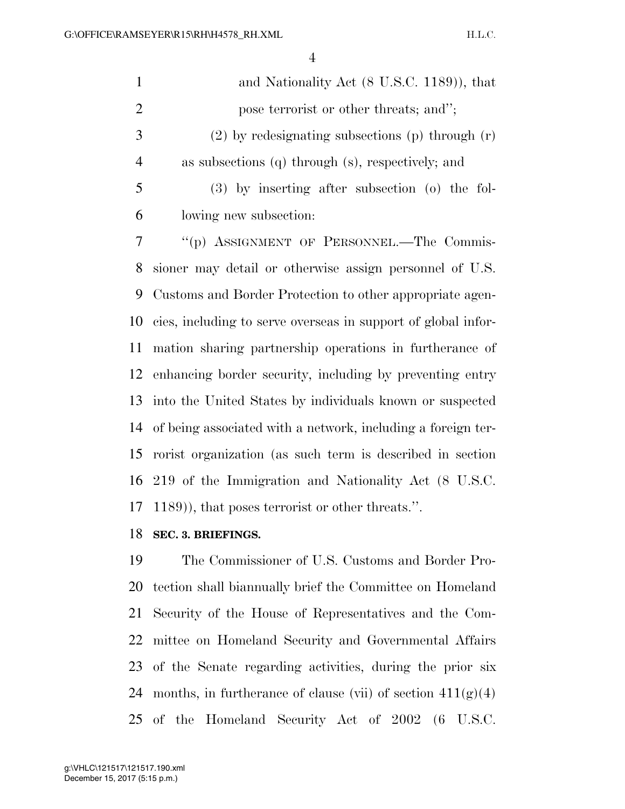| $\mathbf{1}$   | and Nationality Act (8 U.S.C. 1189)), that                    |
|----------------|---------------------------------------------------------------|
| $\overline{2}$ | pose terrorist or other threats; and";                        |
| 3              | $(2)$ by redesignating subsections (p) through $(r)$          |
| $\overline{4}$ | as subsections (q) through (s), respectively; and             |
| 5              | $(3)$ by inserting after subsection $(0)$ the fol-            |
| 6              | lowing new subsection:                                        |
| $\overline{7}$ | "(p) ASSIGNMENT OF PERSONNEL.—The Commis-                     |
| 8              | sioner may detail or otherwise assign personnel of U.S.       |
| 9              | Customs and Border Protection to other appropriate agen-      |
| 10             | cies, including to serve overseas in support of global infor- |
| 11             | mation sharing partnership operations in furtherance of       |
| 12             | enhancing border security, including by preventing entry      |
| 13             | into the United States by individuals known or suspected      |
| 14             | of being associated with a network, including a foreign ter-  |
| 15             | rorist organization (as such term is described in section     |
| 16             | 219 of the Immigration and Nationality Act (8 U.S.C.          |
| 17             | 1189)), that poses terrorist or other threats.".              |

## **SEC. 3. BRIEFINGS.**

 The Commissioner of U.S. Customs and Border Pro- tection shall biannually brief the Committee on Homeland Security of the House of Representatives and the Com- mittee on Homeland Security and Governmental Affairs of the Senate regarding activities, during the prior six 24 months, in furtherance of clause (vii) of section  $411(g)(4)$ of the Homeland Security Act of 2002 (6 U.S.C.